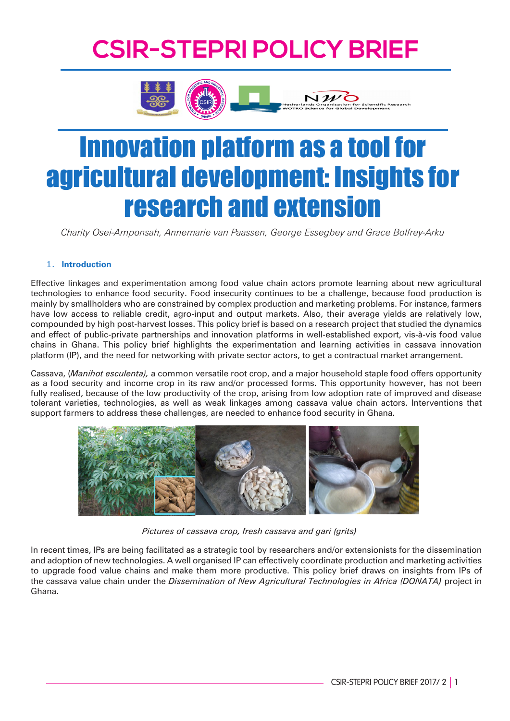# **CSIR-STEPRI POLICY BRIEF**



# Innovation platform as a tool for agricultural development: Insights for research and extension

*Charity Osei-Amponsah, Annemarie van Paassen, George Essegbey and Grace Bolfrey-Arku* 

### 1. **Introduction**

Effective linkages and experimentation among food value chain actors promote learning about new agricultural technologies to enhance food security. Food insecurity continues to be a challenge, because food production is mainly by smallholders who are constrained by complex production and marketing problems. For instance, farmers have low access to reliable credit, agro-input and output markets. Also, their average yields are relatively low, compounded by high post-harvest losses. This policy brief is based on a research project that studied the dynamics and effect of public-private partnerships and innovation platforms in well-established export, vis-à-vis food value chains in Ghana. This policy brief highlights the experimentation and learning activities in cassava innovation platform (IP), and the need for networking with private sector actors, to get a contractual market arrangement.

Cassava, (*Manihot esculenta),* a common versatile root crop, and a major household staple food offers opportunity as a food security and income crop in its raw and/or processed forms. This opportunity however, has not been fully realised, because of the low productivity of the crop, arising from low adoption rate of improved and disease tolerant varieties, technologies, as well as weak linkages among cassava value chain actors. Interventions that support farmers to address these challenges, are needed to enhance food security in Ghana.



 *Pictures of cassava crop, fresh cassava and gari (grits)*

In recent times, IPs are being facilitated as a strategic tool by researchers and/or extensionists for the dissemination and adoption of new technologies. A well organised IP can effectively coordinate production and marketing activities to upgrade food value chains and make them more productive. This policy brief draws on insights from IPs of the cassava value chain under the *Dissemination of New Agricultural Technologies in Africa (DONATA)* project in Ghana.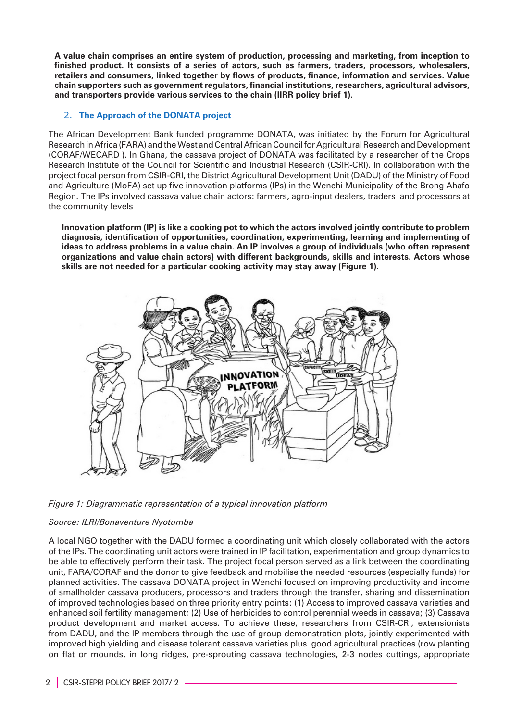**A value chain comprises an entire system of production, processing and marketing, from inception to finished product. It consists of a series of actors, such as farmers, traders, processors, wholesalers, retailers and consumers, linked together by flows of products, finance, information and services. Value chain supporters such as government regulators, financial institutions, researchers, agricultural advisors, and transporters provide various services to the chain (IIRR policy brief 1).**

### 2. **The Approach of the DONATA project**

The African Development Bank funded programme DONATA, was initiated by the Forum for Agricultural Research in Africa (FARA) and the West and Central African Council for Agricultural Research and Development (CORAF/WECARD ). In Ghana, the cassava project of DONATA was facilitated by a researcher of the Crops Research Institute of the Council for Scientific and Industrial Research (CSIR-CRI). In collaboration with the project focal person from CSIR-CRI, the District Agricultural Development Unit (DADU) of the Ministry of Food and Agriculture (MoFA) set up five innovation platforms (IPs) in the Wenchi Municipality of the Brong Ahafo Region. The IPs involved cassava value chain actors: farmers, agro-input dealers, traders and processors at the community levels

**Innovation platform (IP) is like a cooking pot to which the actors involved jointly contribute to problem diagnosis, identification of opportunities, coordination, experimenting, learning and implementing of ideas to address problems in a value chain. An IP involves a group of individuals (who often represent organizations and value chain actors) with different backgrounds, skills and interests. Actors whose skills are not needed for a particular cooking activity may stay away (Figure 1).**





#### *Source: ILRI/Bonaventure Nyotumba*

A local NGO together with the DADU formed a coordinating unit which closely collaborated with the actors of the IPs. The coordinating unit actors were trained in IP facilitation, experimentation and group dynamics to be able to effectively perform their task. The project focal person served as a link between the coordinating unit, FARA/CORAF and the donor to give feedback and mobilise the needed resources (especially funds) for planned activities. The cassava DONATA project in Wenchi focused on improving productivity and income of smallholder cassava producers, processors and traders through the transfer, sharing and dissemination of improved technologies based on three priority entry points: (1) Access to improved cassava varieties and enhanced soil fertility management; (2) Use of herbicides to control perennial weeds in cassava; (3) Cassava product development and market access. To achieve these, researchers from CSIR-CRI, extensionists from DADU, and the IP members through the use of group demonstration plots, jointly experimented with improved high yielding and disease tolerant cassava varieties plus good agricultural practices (row planting on flat or mounds, in long ridges, pre-sprouting cassava technologies, 2-3 nodes cuttings, appropriate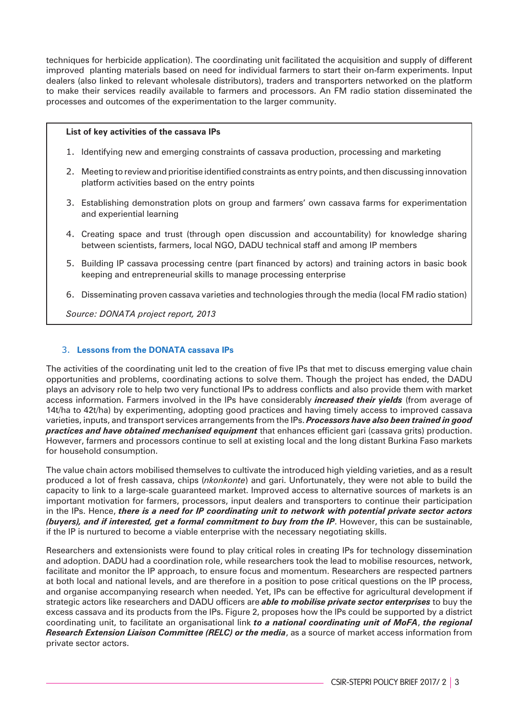techniques for herbicide application). The coordinating unit facilitated the acquisition and supply of different improved planting materials based on need for individual farmers to start their on-farm experiments. Input dealers (also linked to relevant wholesale distributors), traders and transporters networked on the platform to make their services readily available to farmers and processors. An FM radio station disseminated the processes and outcomes of the experimentation to the larger community.

#### **List of key activities of the cassava IPs**

- 1. Identifying new and emerging constraints of cassava production, processing and marketing
- 2. Meeting to review and prioritise identified constraints as entry points, and then discussing innovation platform activities based on the entry points
- 3. Establishing demonstration plots on group and farmers' own cassava farms for experimentation and experiential learning
- 4. Creating space and trust (through open discussion and accountability) for knowledge sharing between scientists, farmers, local NGO, DADU technical staff and among IP members
- 5. Building IP cassava processing centre (part financed by actors) and training actors in basic book keeping and entrepreneurial skills to manage processing enterprise
- 6. Disseminating proven cassava varieties and technologies through the media (local FM radio station)

*Source: DONATA project report, 2013*

#### 3. **Lessons from the DONATA cassava IPs**

The activities of the coordinating unit led to the creation of five IPs that met to discuss emerging value chain opportunities and problems, coordinating actions to solve them. Though the project has ended, the DADU plays an advisory role to help two very functional IPs to address conflicts and also provide them with market access information. Farmers involved in the IPs have considerably *increased their yields* (from average of 14t/ha to 42t/ha) by experimenting, adopting good practices and having timely access to improved cassava varieties, inputs, and transport services arrangements from the IPs. *Processors have also been trained in good practices and have obtained mechanised equipment* that enhances efficient gari (cassava grits) production. However, farmers and processors continue to sell at existing local and the long distant Burkina Faso markets for household consumption.

The value chain actors mobilised themselves to cultivate the introduced high yielding varieties, and as a result produced a lot of fresh cassava, chips (*nkonkonte*) and gari. Unfortunately, they were not able to build the capacity to link to a large-scale guaranteed market. Improved access to alternative sources of markets is an important motivation for farmers, processors, input dealers and transporters to continue their participation in the IPs. Hence, *there is a need for IP coordinating unit to network with potential private sector actors (buyers), and if interested, get a formal commitment to buy from the IP*. However, this can be sustainable, if the IP is nurtured to become a viable enterprise with the necessary negotiating skills.

Researchers and extensionists were found to play critical roles in creating IPs for technology dissemination and adoption. DADU had a coordination role, while researchers took the lead to mobilise resources, network, facilitate and monitor the IP approach, to ensure focus and momentum. Researchers are respected partners at both local and national levels, and are therefore in a position to pose critical questions on the IP process, and organise accompanying research when needed. Yet, IPs can be effective for agricultural development if strategic actors like researchers and DADU officers are *able to mobilise private sector enterprises* to buy the excess cassava and its products from the IPs. Figure 2, proposes how the IPs could be supported by a district coordinating unit, to facilitate an organisational link *to a national coordinating unit of MoFA*, *the regional Research Extension Liaison Committee (RELC) or the media*, as a source of market access information from private sector actors.